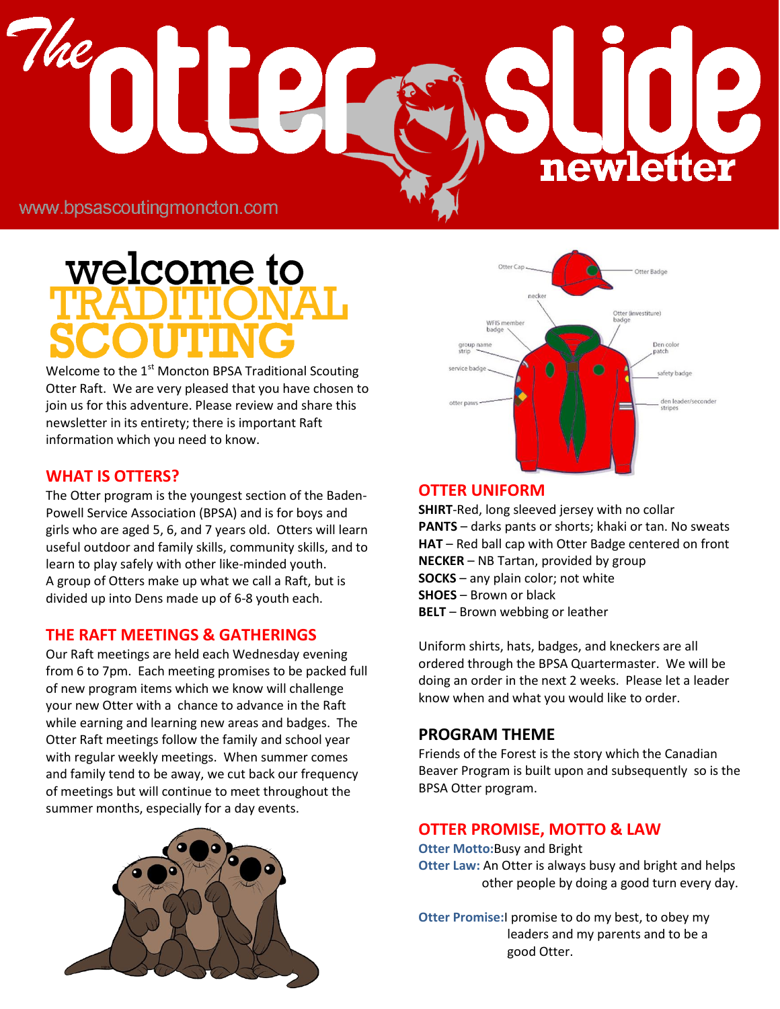# 1 newletter

www.bpsascoutingmoncton.com

# welcome to

Welcome to the  $1<sup>st</sup>$  Moncton BPSA Traditional Scouting Otter Raft. We are very pleased that you have chosen to join us for this adventure. Please review and share this newsletter in its entirety; there is important Raft information which you need to know.

# **WHAT IS OTTERS?**

The Otter program is the youngest section of the Baden-Powell Service Association (BPSA) and is for boys and girls who are aged 5, 6, and 7 years old. Otters will learn useful outdoor and family skills, community skills, and to learn to play safely with other like-minded youth. A group of Otters make up what we call a Raft, but is divided up into Dens made up of 6-8 youth each.

# **THE RAFT MEETINGS & GATHERINGS**

Our Raft meetings are held each Wednesday evening from 6 to 7pm. Each meeting promises to be packed full of new program items which we know will challenge your new Otter with a chance to advance in the Raft while earning and learning new areas and badges. The Otter Raft meetings follow the family and school year with regular weekly meetings. When summer comes and family tend to be away, we cut back our frequency of meetings but will continue to meet throughout the summer months, especially for a day events.





# **OTTER UNIFORM**

**SHIRT**-Red, long sleeved jersey with no collar **PANTS** – darks pants or shorts; khaki or tan. No sweats **HAT** – Red ball cap with Otter Badge centered on front **NECKER** – NB Tartan, provided by group **SOCKS** – any plain color; not white **SHOES** – Brown or black **BELT** – Brown webbing or leather

Uniform shirts, hats, badges, and kneckers are all ordered through the BPSA Quartermaster. We will be doing an order in the next 2 weeks. Please let a leader know when and what you would like to order.

# **PROGRAM THEME**

Friends of the Forest is the story which the Canadian Beaver Program is built upon and subsequently so is the BPSA Otter program.

# **OTTER PROMISE, MOTTO & LAW**

**Otter Motto:**Busy and Bright **Otter Law:** An Otter is always busy and bright and helps other people by doing a good turn every day.

**Otter Promise:**I promise to do my best, to obey my leaders and my parents and to be a good Otter.